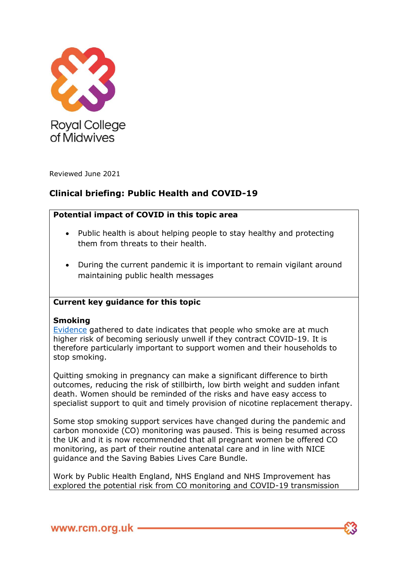

Reviewed June 2021

# **Clinical briefing: Public Health and COVID-19**

## **Potential impact of COVID in this topic area**

- Public health is about helping people to stay healthy and protecting them from threats to their health.
- During the current pandemic it is important to remain vigilant around maintaining public health messages

## **Current key guidance for this topic**

### **Smoking**

[Evidence](https://www.who.int/news-room/commentaries/detail/smoking-and-covid-19) gathered to date indicates that people who smoke are at much higher risk of becoming seriously unwell if they contract COVID-19. It is therefore particularly important to support women and their households to stop smoking.

Quitting smoking in pregnancy can make a significant difference to birth outcomes, reducing the risk of stillbirth, low birth weight and sudden infant death. Women should be reminded of the risks and have easy access to specialist support to quit and timely provision of nicotine replacement therapy.

Some stop smoking support services have changed during the pandemic and carbon monoxide (CO) monitoring was paused. This is being resumed across the UK and it is now recommended that all pregnant women be offered CO monitoring, as part of their routine antenatal care and in line with NICE guidance and the Saving Babies Lives Care Bundle.

Work by Public Health England, NHS England and NHS Improvement has explored the potential risk from CO monitoring and COVID-19 transmission

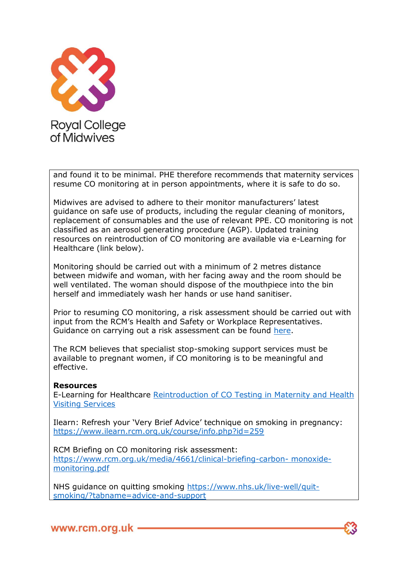

and found it to be minimal. PHE therefore recommends that maternity services resume CO monitoring at in person appointments, where it is safe to do so.

Midwives are advised to adhere to their monitor manufacturers' latest guidance on safe use of products, including the regular cleaning of monitors, replacement of consumables and the use of relevant PPE. CO monitoring is not classified as an aerosol generating procedure (AGP). Updated training resources on reintroduction of CO monitoring are available via e-Learning for Healthcare (link below).

Monitoring should be carried out with a minimum of 2 metres distance between midwife and woman, with her facing away and the room should be well ventilated. The woman should dispose of the mouthpiece into the bin herself and immediately wash her hands or use hand sanitiser.

Prior to resuming CO monitoring, a risk assessment should be carried out with input from the RCM's Health and Safety or Workplace Representatives. Guidance on carrying out a risk assessment can be found [here.](https://www.rcm.org.uk/media/4661/clinical-briefing-carbon-monoxide-monitoring.pdf)

The RCM believes that specialist stop-smoking support services must be available to pregnant women, if CO monitoring is to be meaningful and effective.

#### **Resources**

E-Learning for Healthcare [Reintroduction of CO Testing in Maternity and Health](https://portal.e-lfh.org.uk/Catalogue/Index?HierarchyId=0_41043_50806&programmeId=41043)  [Visiting Services](https://portal.e-lfh.org.uk/Catalogue/Index?HierarchyId=0_41043_50806&programmeId=41043)

Ilearn: Refresh your 'Very Brief Advice' technique on smoking in pregnancy: <https://www.ilearn.rcm.org.uk/course/info.php?id=259>

RCM Briefing on CO monitoring risk assessment: [https://www.rcm.org.uk/media/4661/clinical-briefing-carbon-](https://www.rcm.org.uk/media/4661/clinical-briefing-carbon-%20monoxide-monitoring.pdf) monoxide[monitoring.pdf](https://www.rcm.org.uk/media/4661/clinical-briefing-carbon-%20monoxide-monitoring.pdf)

NHS guidance on quitting smoking [https://www.nhs.uk/live-well/quit](https://www.nhs.uk/live-well/quit-smoking/?tabname=advice-and-support)[smoking/?tabname=advice-and-support](https://www.nhs.uk/live-well/quit-smoking/?tabname=advice-and-support)

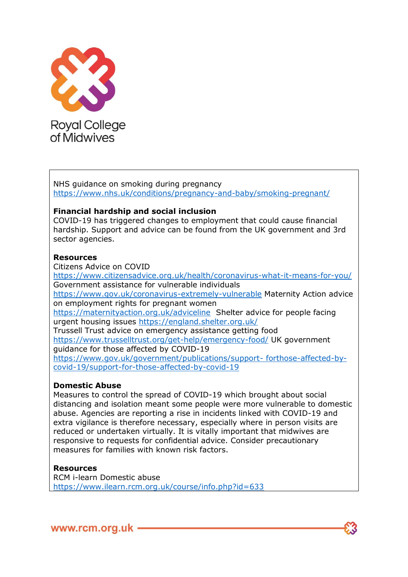

NHS guidance on smoking during pregnancy <https://www.nhs.uk/conditions/pregnancy-and-baby/smoking-pregnant/>

## **Financial hardship and social inclusion**

COVID-19 has triggered changes to employment that could cause financial hardship. Support and advice can be found from the UK government and 3rd sector agencies.

#### **Resources**

Citizens Advice on COVID

<https://www.citizensadvice.org.uk/health/coronavirus-what-it-means-for-you/> Government assistance for vulnerable individuals <https://www.gov.uk/coronavirus-extremely-vulnerable> Maternity Action advice on employment rights for pregnant women <https://maternityaction.org.uk/adviceline> Shelter advice for people facing urgent housing issues<https://england.shelter.org.uk/> Trussell Trust advice on emergency assistance getting food <https://www.trusselltrust.org/get-help/emergency-food/> UK government guidance for those affected by COVID-19 [https://www.gov.uk/government/publications/support-](https://www.gov.uk/government/publications/support-%20forthose-affected-by-covid-19/support-for-those-affected-by-covid-19) forthose-affected-by[covid-19/support-for-those-affected-by-covid-19](https://www.gov.uk/government/publications/support-%20forthose-affected-by-covid-19/support-for-those-affected-by-covid-19)

### **Domestic Abuse**

Measures to control the spread of COVID-19 which brought about social distancing and isolation meant some people were more vulnerable to domestic abuse. Agencies are reporting a rise in incidents linked with COVID-19 and extra vigilance is therefore necessary, especially where in person visits are reduced or undertaken virtually. It is vitally important that midwives are responsive to requests for confidential advice. Consider precautionary measures for families with known risk factors.

### **Resources**

RCM i-learn Domestic abuse <https://www.ilearn.rcm.org.uk/course/info.php?id=633>

www.rcm.org.uk -

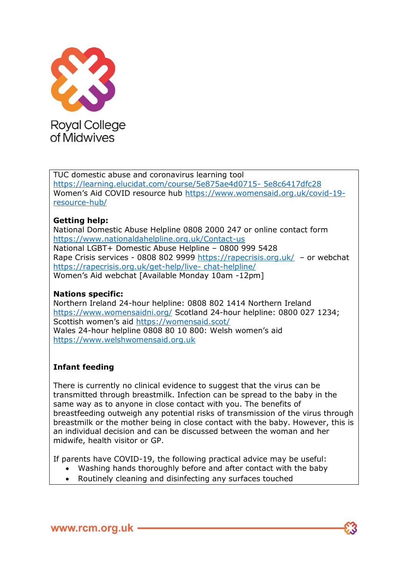

TUC domestic abuse and coronavirus learning tool [https://learning.elucidat.com/course/5e875ae4d0715-](https://learning.elucidat.com/course/5e875ae4d0715-%205e8c6417dfc28) 5e8c6417dfc28 Women's Aid COVID resource hub [https://www.womensaid.org.uk/covid-19](https://www.womensaid.org.uk/covid-19-resource-hub/) [resource-hub/](https://www.womensaid.org.uk/covid-19-resource-hub/)

## **Getting help:**

National Domestic Abuse Helpline 0808 2000 247 or online contact form <https://www.nationaldahelpline.org.uk/Contact-us> National LGBT+ Domestic Abuse Helpline – 0800 999 5428 Rape Crisis services - 0808 802 9999<https://rapecrisis.org.uk/> – or webchat [https://rapecrisis.org.uk/get-help/live-](https://rapecrisis.org.uk/get-help/live-%20chat-helpline/) chat-helpline/ Women's Aid webchat [Available Monday 10am -12pm]

## **Nations specific:**

Northern Ireland 24-hour helpline: 0808 802 1414 Northern Ireland <https://www.womensaidni.org/> Scotland 24-hour helpline: 0800 027 1234; Scottish women's aid <https://womensaid.scot/> Wales 24-hour helpline 0808 80 10 800: Welsh women's aid [https://www.welshwomensaid.org.uk](https://www.welshwomensaid.org.uk/)

## **Infant feeding**

There is currently no clinical evidence to suggest that the virus can be transmitted through breastmilk. Infection can be spread to the baby in the same way as to anyone in close contact with you. The benefits of breastfeeding outweigh any potential risks of transmission of the virus through breastmilk or the mother being in close contact with the baby. However, this is an individual decision and can be discussed between the woman and her midwife, health visitor or GP.

If parents have COVID-19, the following practical advice may be useful:

- Washing hands thoroughly before and after contact with the baby
- Routinely cleaning and disinfecting any surfaces touched

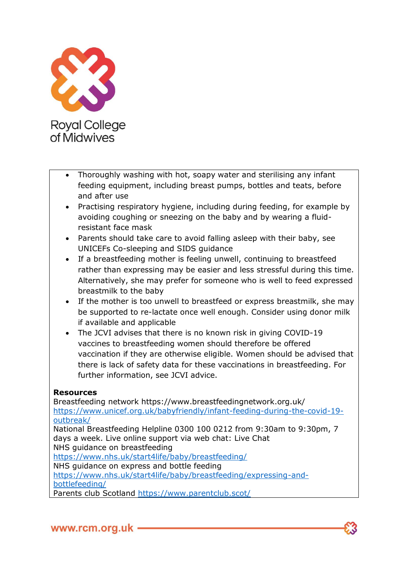

- Thoroughly washing with hot, soapy water and sterilising any infant feeding equipment, including breast pumps, bottles and teats, before and after use
- Practising respiratory hygiene, including during feeding, for example by avoiding coughing or sneezing on the baby and by wearing a fluidresistant face mask
- Parents should take care to avoid falling asleep with their baby, see UNICEFs Co-sleeping and SIDS guidance
- If a breastfeeding mother is feeling unwell, continuing to breastfeed rather than expressing may be easier and less stressful during this time. Alternatively, she may prefer for someone who is well to feed expressed breastmilk to the baby
- If the mother is too unwell to breastfeed or express breastmilk, she may be supported to re-lactate once well enough. Consider using donor milk if available and applicable
- The JCVI advises that there is no known risk in giving COVID-19 vaccines to breastfeeding women should therefore be offered vaccination if they are otherwise eligible. Women should be advised that there is lack of safety data for these vaccinations in breastfeeding. For further information, see JCVI advice.

## **Resources**

Breastfeeding network https://www.breastfeedingnetwork.org.uk/ [https://www.unicef.org.uk/babyfriendly/infant-feeding-during-the-covid-19](https://www.unicef.org.uk/babyfriendly/infant-feeding-during-the-covid-19-outbreak/) [outbreak/](https://www.unicef.org.uk/babyfriendly/infant-feeding-during-the-covid-19-outbreak/) National Breastfeeding Helpline 0300 100 0212 from 9:30am to 9:30pm, 7 days a week. Live online support via web chat: Live Chat NHS guidance on breastfeeding <https://www.nhs.uk/start4life/baby/breastfeeding/> NHS guidance on express and bottle feeding [https://www.nhs.uk/start4life/baby/breastfeeding/expressing-and](https://www.nhs.uk/start4life/baby/breastfeeding/expressing-and-%20bottlefeeding/)[bottlefeeding/](https://www.nhs.uk/start4life/baby/breastfeeding/expressing-and-%20bottlefeeding/)

Parents club Scotland<https://www.parentclub.scot/>

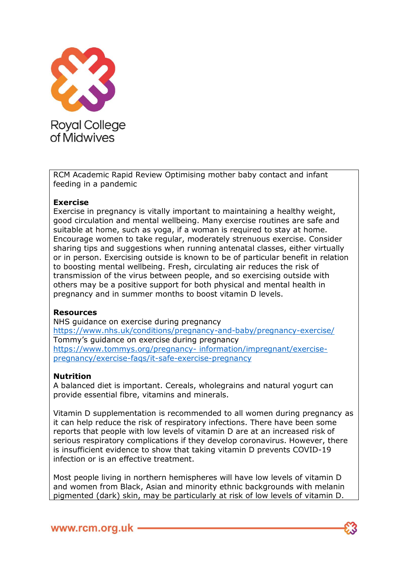

RCM Academic Rapid Review Optimising mother baby contact and infant feeding in a pandemic

### **Exercise**

Exercise in pregnancy is vitally important to maintaining a healthy weight, good circulation and mental wellbeing. Many exercise routines are safe and suitable at home, such as yoga, if a woman is required to stay at home. Encourage women to take regular, moderately strenuous exercise. Consider sharing tips and suggestions when running antenatal classes, either virtually or in person. Exercising outside is known to be of particular benefit in relation to boosting mental wellbeing. Fresh, circulating air reduces the risk of transmission of the virus between people, and so exercising outside with others may be a positive support for both physical and mental health in pregnancy and in summer months to boost vitamin D levels.

#### **Resources**

NHS guidance on exercise during pregnancy <https://www.nhs.uk/conditions/pregnancy-and-baby/pregnancy-exercise/> Tommy's guidance on exercise during pregnancy [https://www.tommys.org/pregnancy-](https://www.tommys.org/pregnancy-%20information/impregnant/exercise-pregnancy/exercise-faqs/it-safe-exercise-pregnancy) information/impregnant/exercise[pregnancy/exercise-faqs/it-safe-exercise-pregnancy](https://www.tommys.org/pregnancy-%20information/impregnant/exercise-pregnancy/exercise-faqs/it-safe-exercise-pregnancy)

#### **Nutrition**

A balanced diet is important. Cereals, wholegrains and natural yogurt can provide essential fibre, vitamins and minerals.

Vitamin D supplementation is recommended to all women during pregnancy as it can help reduce the risk of respiratory infections. There have been some reports that people with low levels of vitamin D are at an increased risk of serious respiratory complications if they develop coronavirus. However, there is insufficient evidence to show that taking vitamin D prevents COVID-19 infection or is an effective treatment.

Most people living in northern hemispheres will have low levels of vitamin D and women from Black, Asian and minority ethnic backgrounds with melanin pigmented (dark) skin, may be particularly at risk of low levels of vitamin D.

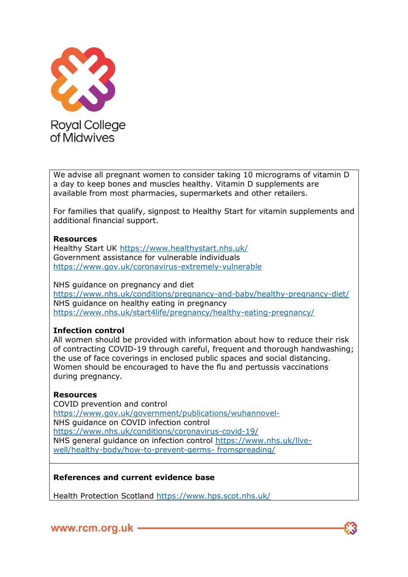

We advise all pregnant women to consider taking 10 micrograms of vitamin D a day to keep bones and muscles healthy. Vitamin D supplements are available from most pharmacies, supermarkets and other retailers.

For families that qualify, signpost to Healthy Start for vitamin supplements and additional financial support.

#### **Resources**

Healthy Start UK<https://www.healthystart.nhs.uk/> Government assistance for vulnerable individuals <https://www.gov.uk/coronavirus-extremely-vulnerable>

NHS guidance on pregnancy and diet <https://www.nhs.uk/conditions/pregnancy-and-baby/healthy-pregnancy-diet/> NHS guidance on healthy eating in pregnancy <https://www.nhs.uk/start4life/pregnancy/healthy-eating-pregnancy/>

### **Infection control**

All women should be provided with information about how to reduce their risk of contracting COVID-19 through careful, frequent and thorough handwashing; the use of face coverings in enclosed public spaces and social distancing. Women should be encouraged to have the flu and pertussis vaccinations during pregnancy.

### **Resources**

COVID prevention and control <https://www.gov.uk/government/publications/wuhannovel->NHS guidance on COVID infection control <https://www.nhs.uk/conditions/coronavirus-covid-19/> NHS general guidance on infection control [https://www.nhs.uk/live](https://www.nhs.uk/live-well/healthy-body/how-to-prevent-germs-%20fromspreading/)[well/healthy-body/how-to-prevent-germs-](https://www.nhs.uk/live-well/healthy-body/how-to-prevent-germs-%20fromspreading/) fromspreading/

### **References and current evidence base**

Health Protection Scotland<https://www.hps.scot.nhs.uk/>